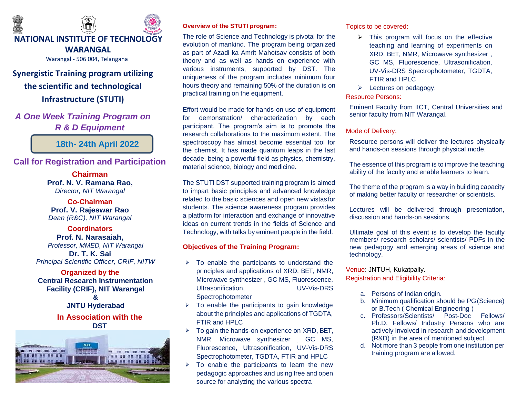

# **Synergistic Training program utilizing the scientific and technological Infrastructure (STUTI)**

*A One Week Training Program on R & D Equipment*

**18th- 24th April 2022**

## **Call for Registration and Participation**

**Chairman Prof. N. V. Ramana Rao,** *Director, NIT Warangal*

**Co-Chairman Prof. V. Rajeswar Rao** *Dean (R&C), NIT Warangal*

**Coordinators Prof. N. Narasaiah,** *Professor, MMED, NIT Warangal*

**Dr. T. K. Sai** *Principal Scientific Officer, CRIF, NITW*

**Organized by the Central Research Instrumentation Facility (CRIF), NIT Warangal & JNTU Hyderabad**

# **In Association with the DST**



### **Overview of the STUTI program:**

The role of Science and Technology is pivotal for the evolution of mankind. The program being organized as part of Azadi ka Amrit Mahotsav consists of both theory and as well as hands on experience with various instruments, supported by DST. The uniqueness of the program includes minimum four hours theory and remaining 50% of the duration is on practical training on the equipment.

Effort would be made for hands-on use of equipment for demonstration/ characterization by each participant. The program's aim is to promote the research collaborations to the maximum extent. The spectroscopy has almost become essential tool for the chemist. It has made quantum leaps in the last decade, being a powerful field as physics, chemistry, material science, biology and medicine.

The STUTI DST supported training program is aimed to impart basic principles and advanced knowledge related to the basic sciences and open new vistasfor students. The science awareness program provides a platform for interaction and exchange of innovative ideas on current trends in the fields of Science and Technology, with talks by eminent people in the field.

### **Objectives of the Training Program:**

- $\triangleright$  To enable the participants to understand the principles and applications of XRD, BET, NMR, Microwave synthesizer , GC MS, Fluorescence, Ultrasonification, UV-Vis-DRS Spectrophotometer
- $\triangleright$  To enable the participants to gain knowledge about the principles and applications of TGDTA, FTIR and HPLC
- $\triangleright$  To gain the hands-on experience on XRD, BET, NMR, Microwave synthesizer , GC MS, Fluorescence, Ultrasonification, UV-Vis-DRS Spectrophotometer, TGDTA, FTIR and HPLC
- $\triangleright$  To enable the participants to learn the new pedagogic approaches and using free and open source for analyzing the various spectra

Topics to be covered:

- $\triangleright$  This program will focus on the effective teaching and learning of experiments on XRD, BET, NMR, Microwave synthesizer , GC MS, Fluorescence, Ultrasonification, UV-Vis-DRS Spectrophotometer, TGDTA, FTIR and HPLC
- $\triangleright$  Lectures on pedagogy.

### Resource Persons:

Eminent Faculty from IICT, Central Universities and senior faculty from NIT Warangal.

#### Mode of Delivery:

Resource persons will deliver the lectures physically and hands-on sessions through physical mode.

The essence of this program is to improve the teaching ability of the faculty and enable learners to learn.

The theme of the program is a way in building capacity of making better faculty or researcher or scientists.

Lectures will be delivered through presentation, discussion and hands-on sessions.

Ultimate goal of this event is to develop the faculty members/ research scholars/ scientists/ PDFs in the new pedagogy and emerging areas of science and technology.

Venue: JNTUH, Kukatpally. Registration and Eligibility Criteria:

- a. Persons of Indian origin.
- b. Minimum qualification should be PG(Science) or B.Tech ( Chemical Engineering )
- c. Professors/Scientists/ Post-Doc Fellows/ Ph.D. Fellows/ Industry Persons who are actively involved in research anddevelopment (R&D) in the area of mentioned subject. .
- d. Not more than 3 people from one institution per training program are allowed.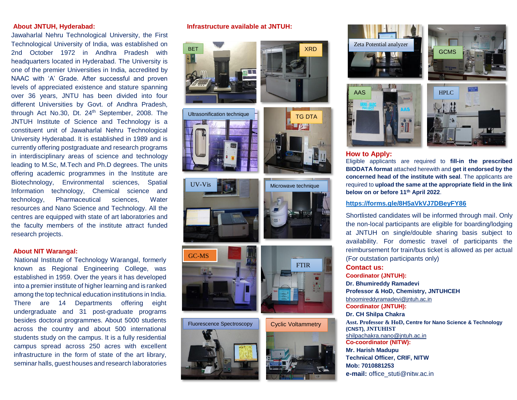#### **About JNTUH, Hyderabad:**

Jawaharlal Nehru Technological University, the First Technological University of India, was established on 2nd October 1972 in Andhra Pradesh with headquarters located in Hyderabad. The University is one of the premier Universities in India, accredited by NAAC with 'A' Grade. After successful and proven levels of appreciated existence and stature spanning over 36 years, JNTU has been divided into four different Universities by Govt. of Andhra Pradesh, through Act No.30, Dt. 24<sup>th</sup> September, 2008. The JNTUH Institute of Science and Technology is a constituent unit of Jawaharlal Nehru Technological University Hyderabad. It is established in 1989 and is currently offering postgraduate and research programs in interdisciplinary areas of science and technology leading to M.Sc, M.Tech and Ph.D degrees. The units offering academic programmes in the Institute are Biotechnology, Environmental sciences, Spatial Information technology, Chemical science and technology, Pharmaceutical sciences, Water resources and Nano Science and Technology. All the centres are equipped with state of art laboratories and the faculty members of the institute attract funded research projects.

#### **About NIT Warangal:**

National Institute of Technology Warangal, formerly known as Regional Engineering College, was established in 1959. Over the years it has developed into a premier institute of higher learning and is ranked among the top technical education institutions in India. There are 14 Departments offering eight undergraduate and 31 post-graduate programs besides doctoral programmes. About 5000 students across the country and about 500 international students study on the campus. It is a fully residential campus spread across 250 acres with excellent infrastructure in the form of state of the art library, seminar halls, guest houses and research laboratories

#### **Infrastructure available at JNTUH:**













Microwave technique









**GCMS** 

#### **How to Apply:**

Eligible applicants are required to **fill-in the prescribed BIODATA format** attached herewith and **get it endorsed by the concerned head of the institute with seal**. The applicants are required to **upload the same at the appropriate field in the link below on or before 11th April 2022**.

#### **<https://forms.gle/8H5aVkVJ7DBeyFY86>**

Shortlisted candidates will be informed through mail. Only the non-local participants are eligible for boarding/lodging at JNTUH on single/double sharing basis subject to availability. For domestic travel of participants the reimbursement for train/bus ticket is allowed as per actual (For outstation participants only) **Contact us:**

**Coordinator (JNTUH): Dr. Bhumireddy Ramadevi Professor & HoD, Chemistry, JNTUHCEH** [bhoomireddyramadevi@jntuh.ac.in](mailto:bhoomireddyramadevi@jntuh.ac.in) **Coordinator (JNTUH): Dr. CH Shilpa Chakra Asst. Professor & HoD, Centre for Nano Science & Technology (CNST), JNTUHIST** [shilpachakra.nano@jntuh.ac.in](mailto:shilpachakra.nano@jntuh.ac.in) **Co-coordinator (NITW): Mr. Harish Madupu Technical Officer, CRIF, NITW Mob: 7010881253 e-mail:** [office\\_stuti@nitw.ac.in](mailto:office_stuti@nitw.ac.in)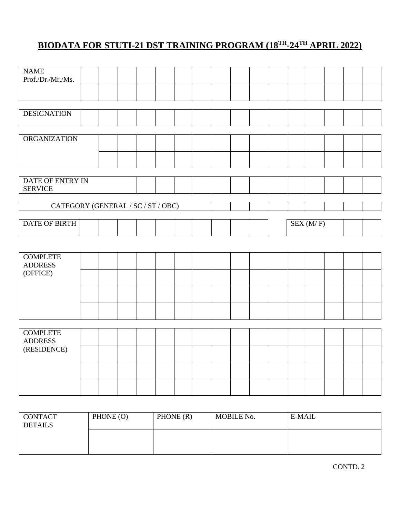# **BIODATA FOR STUTI-21 DST TRAINING PROGRAM (18TH-24TH APRIL 2022)**

| <b>NAME</b><br>Prof./Dr./Mr./Ms.   |  |  |  |  |  |  |          |  |  |
|------------------------------------|--|--|--|--|--|--|----------|--|--|
|                                    |  |  |  |  |  |  |          |  |  |
|                                    |  |  |  |  |  |  |          |  |  |
| <b>DESIGNATION</b>                 |  |  |  |  |  |  |          |  |  |
|                                    |  |  |  |  |  |  |          |  |  |
| <b>ORGANIZATION</b>                |  |  |  |  |  |  |          |  |  |
|                                    |  |  |  |  |  |  |          |  |  |
|                                    |  |  |  |  |  |  |          |  |  |
| DATE OF ENTRY IN<br><b>SERVICE</b> |  |  |  |  |  |  |          |  |  |
| CATEGORY (GENERAL / SC / ST / OBC) |  |  |  |  |  |  |          |  |  |
| <b>DATE OF BIRTH</b>               |  |  |  |  |  |  | SEX(M/F) |  |  |
|                                    |  |  |  |  |  |  |          |  |  |
|                                    |  |  |  |  |  |  |          |  |  |
| <b>COMPLETE</b><br><b>ADDRESS</b>  |  |  |  |  |  |  |          |  |  |
| (OFFICE)                           |  |  |  |  |  |  |          |  |  |
|                                    |  |  |  |  |  |  |          |  |  |
|                                    |  |  |  |  |  |  |          |  |  |
|                                    |  |  |  |  |  |  |          |  |  |
|                                    |  |  |  |  |  |  |          |  |  |
| <b>COMPLETE</b>                    |  |  |  |  |  |  |          |  |  |
| <b>ADDRESS</b>                     |  |  |  |  |  |  |          |  |  |
| (RESIDENCE)                        |  |  |  |  |  |  |          |  |  |
|                                    |  |  |  |  |  |  |          |  |  |
|                                    |  |  |  |  |  |  |          |  |  |

| <b>CONTACT</b> | PHONE (O) | PHONE(R) | MOBILE No. | E-MAIL |
|----------------|-----------|----------|------------|--------|
| <b>DETAILS</b> |           |          |            |        |
|                |           |          |            |        |
|                |           |          |            |        |
|                |           |          |            |        |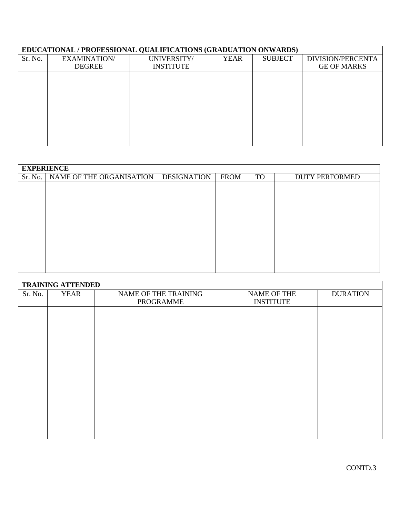## **EDUCATIONAL / PROFESSIONAL QUALIFICATIONS (GRADUATION ONWARDS)**

| Sr. No. | EXAMINATION/  | UNIVERSITY/      | <b>YEAR</b> | <b>SUBJECT</b> | DIVISION/PERCENTA  |
|---------|---------------|------------------|-------------|----------------|--------------------|
|         | <b>DEGREE</b> | <b>INSTITUTE</b> |             |                | <b>GE OF MARKS</b> |
|         |               |                  |             |                |                    |
|         |               |                  |             |                |                    |
|         |               |                  |             |                |                    |
|         |               |                  |             |                |                    |
|         |               |                  |             |                |                    |
|         |               |                  |             |                |                    |
|         |               |                  |             |                |                    |
|         |               |                  |             |                |                    |
|         |               |                  |             |                |                    |

|         | <b>EXPERIENCE</b>        |                    |             |           |                       |  |  |  |
|---------|--------------------------|--------------------|-------------|-----------|-----------------------|--|--|--|
| Sr. No. | NAME OF THE ORGANISATION | <b>DESIGNATION</b> | <b>FROM</b> | <b>TO</b> | <b>DUTY PERFORMED</b> |  |  |  |
|         |                          |                    |             |           |                       |  |  |  |
|         |                          |                    |             |           |                       |  |  |  |
|         |                          |                    |             |           |                       |  |  |  |
|         |                          |                    |             |           |                       |  |  |  |
|         |                          |                    |             |           |                       |  |  |  |
|         |                          |                    |             |           |                       |  |  |  |
|         |                          |                    |             |           |                       |  |  |  |
|         |                          |                    |             |           |                       |  |  |  |
|         |                          |                    |             |           |                       |  |  |  |
|         |                          |                    |             |           |                       |  |  |  |
|         |                          |                    |             |           |                       |  |  |  |

|         | <b>TRAINING ATTENDED</b> |                                   |                                        |                 |
|---------|--------------------------|-----------------------------------|----------------------------------------|-----------------|
| Sr. No. | <b>YEAR</b>              | NAME OF THE TRAINING<br>PROGRAMME | <b>NAME OF THE</b><br><b>INSTITUTE</b> | <b>DURATION</b> |
|         |                          |                                   |                                        |                 |
|         |                          |                                   |                                        |                 |
|         |                          |                                   |                                        |                 |
|         |                          |                                   |                                        |                 |
|         |                          |                                   |                                        |                 |
|         |                          |                                   |                                        |                 |
|         |                          |                                   |                                        |                 |
|         |                          |                                   |                                        |                 |
|         |                          |                                   |                                        |                 |

┑